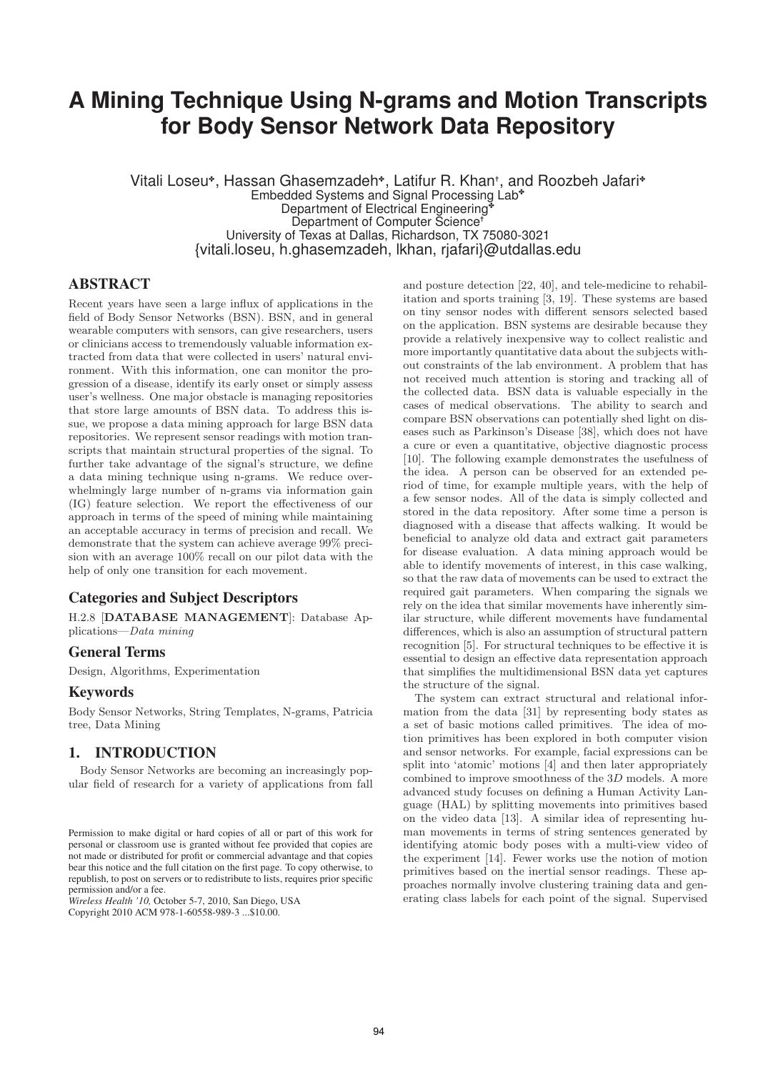# **A Mining Technique Using N-grams and Motion Transcripts for Body Sensor Network Data Repository**

Vitali Loseu✤, Hassan Ghasemzadeh✤, Latifur R. Khan✝ , and Roozbeh Jafari✤ Embedded Systems and Signal Processing Lab✤ Department of Electrical Engineering Department of Computer Science University of Texas at Dallas, Richardson, TX 75080-3021 {vitali.loseu, h.ghasemzadeh, lkhan, rjafari}@utdallas.edu

## ABSTRACT

Recent years have seen a large influx of applications in the field of Body Sensor Networks (BSN). BSN, and in general wearable computers with sensors, can give researchers, users or clinicians access to tremendously valuable information extracted from data that were collected in users' natural environment. With this information, one can monitor the progression of a disease, identify its early onset or simply assess user's wellness. One major obstacle is managing repositories that store large amounts of BSN data. To address this issue, we propose a data mining approach for large BSN data repositories. We represent sensor readings with motion transcripts that maintain structural properties of the signal. To further take advantage of the signal's structure, we define a data mining technique using n-grams. We reduce overwhelmingly large number of n-grams via information gain (IG) feature selection. We report the effectiveness of our approach in terms of the speed of mining while maintaining an acceptable accuracy in terms of precision and recall. We demonstrate that the system can achieve average 99% precision with an average 100% recall on our pilot data with the help of only one transition for each movement.

# Categories and Subject Descriptors

H.2.8 [**DATABASE MANAGEMENT**]: Database Applications—Data mining

#### General Terms

Design, Algorithms, Experimentation

#### **Keywords**

Body Sensor Networks, String Templates, N-grams, Patricia tree, Data Mining

## 1. INTRODUCTION

Body Sensor Networks are becoming an increasingly popular field of research for a variety of applications from fall

*Wireless Health '10,* October 5-7, 2010, San Diego, USA Copyright 2010 ACM 978-1-60558-989-3 ...\$10.00.

and posture detection [22, 40], and tele-medicine to rehabilitation and sports training [3, 19]. These systems are based on tiny sensor nodes with different sensors selected based on the application. BSN systems are desirable because they provide a relatively inexpensive way to collect realistic and more importantly quantitative data about the subjects without constraints of the lab environment. A problem that has not received much attention is storing and tracking all of the collected data. BSN data is valuable especially in the cases of medical observations. The ability to search and compare BSN observations can potentially shed light on diseases such as Parkinson's Disease [38], which does not have a cure or even a quantitative, objective diagnostic process [10]. The following example demonstrates the usefulness of the idea. A person can be observed for an extended period of time, for example multiple years, with the help of a few sensor nodes. All of the data is simply collected and stored in the data repository. After some time a person is diagnosed with a disease that affects walking. It would be beneficial to analyze old data and extract gait parameters for disease evaluation. A data mining approach would be able to identify movements of interest, in this case walking, so that the raw data of movements can be used to extract the required gait parameters. When comparing the signals we rely on the idea that similar movements have inherently similar structure, while different movements have fundamental differences, which is also an assumption of structural pattern recognition [5]. For structural techniques to be effective it is essential to design an effective data representation approach that simplifies the multidimensional BSN data yet captures the structure of the signal.

The system can extract structural and relational information from the data [31] by representing body states as a set of basic motions called primitives. The idea of motion primitives has been explored in both computer vision and sensor networks. For example, facial expressions can be split into 'atomic' motions [4] and then later appropriately combined to improve smoothness of the 3D models. A more advanced study focuses on defining a Human Activity Language (HAL) by splitting movements into primitives based on the video data [13]. A similar idea of representing human movements in terms of string sentences generated by identifying atomic body poses with a multi-view video of the experiment [14]. Fewer works use the notion of motion primitives based on the inertial sensor readings. These approaches normally involve clustering training data and generating class labels for each point of the signal. Supervised

Permission to make digital or hard copies of all or part of this work for personal or classroom use is granted without fee provided that copies are not made or distributed for profit or commercial advantage and that copies bear this notice and the full citation on the first page. To copy otherwise, to republish, to post on servers or to redistribute to lists, requires prior specific permission and/or a fee.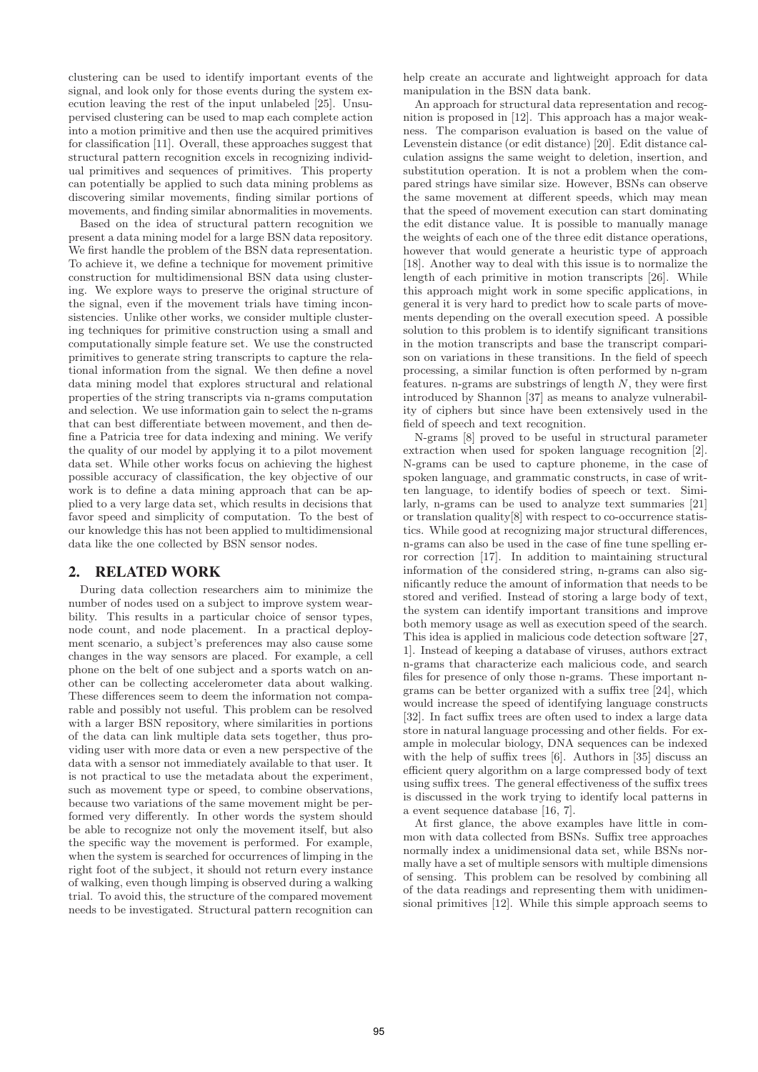clustering can be used to identify important events of the signal, and look only for those events during the system execution leaving the rest of the input unlabeled [25]. Unsupervised clustering can be used to map each complete action into a motion primitive and then use the acquired primitives for classification [11]. Overall, these approaches suggest that structural pattern recognition excels in recognizing individual primitives and sequences of primitives. This property can potentially be applied to such data mining problems as discovering similar movements, finding similar portions of movements, and finding similar abnormalities in movements.

Based on the idea of structural pattern recognition we present a data mining model for a large BSN data repository. We first handle the problem of the BSN data representation. To achieve it, we define a technique for movement primitive construction for multidimensional BSN data using clustering. We explore ways to preserve the original structure of the signal, even if the movement trials have timing inconsistencies. Unlike other works, we consider multiple clustering techniques for primitive construction using a small and computationally simple feature set. We use the constructed primitives to generate string transcripts to capture the relational information from the signal. We then define a novel data mining model that explores structural and relational properties of the string transcripts via n-grams computation and selection. We use information gain to select the n-grams that can best differentiate between movement, and then define a Patricia tree for data indexing and mining. We verify the quality of our model by applying it to a pilot movement data set. While other works focus on achieving the highest possible accuracy of classification, the key objective of our work is to define a data mining approach that can be applied to a very large data set, which results in decisions that favor speed and simplicity of computation. To the best of our knowledge this has not been applied to multidimensional data like the one collected by BSN sensor nodes.

## 2. RELATED WORK

During data collection researchers aim to minimize the number of nodes used on a subject to improve system wearbility. This results in a particular choice of sensor types, node count, and node placement. In a practical deployment scenario, a subject's preferences may also cause some changes in the way sensors are placed. For example, a cell phone on the belt of one subject and a sports watch on another can be collecting accelerometer data about walking. These differences seem to deem the information not comparable and possibly not useful. This problem can be resolved with a larger BSN repository, where similarities in portions of the data can link multiple data sets together, thus providing user with more data or even a new perspective of the data with a sensor not immediately available to that user. It is not practical to use the metadata about the experiment, such as movement type or speed, to combine observations, because two variations of the same movement might be performed very differently. In other words the system should be able to recognize not only the movement itself, but also the specific way the movement is performed. For example, when the system is searched for occurrences of limping in the right foot of the subject, it should not return every instance of walking, even though limping is observed during a walking trial. To avoid this, the structure of the compared movement needs to be investigated. Structural pattern recognition can

help create an accurate and lightweight approach for data manipulation in the BSN data bank.

An approach for structural data representation and recognition is proposed in [12]. This approach has a major weakness. The comparison evaluation is based on the value of Levenstein distance (or edit distance) [20]. Edit distance calculation assigns the same weight to deletion, insertion, and substitution operation. It is not a problem when the compared strings have similar size. However, BSNs can observe the same movement at different speeds, which may mean that the speed of movement execution can start dominating the edit distance value. It is possible to manually manage the weights of each one of the three edit distance operations, however that would generate a heuristic type of approach [18]. Another way to deal with this issue is to normalize the length of each primitive in motion transcripts [26]. While this approach might work in some specific applications, in general it is very hard to predict how to scale parts of movements depending on the overall execution speed. A possible solution to this problem is to identify significant transitions in the motion transcripts and base the transcript comparison on variations in these transitions. In the field of speech processing, a similar function is often performed by n-gram features. n-grams are substrings of length  $N$ , they were first introduced by Shannon [37] as means to analyze vulnerability of ciphers but since have been extensively used in the field of speech and text recognition.

N-grams [8] proved to be useful in structural parameter extraction when used for spoken language recognition [2]. N-grams can be used to capture phoneme, in the case of spoken language, and grammatic constructs, in case of written language, to identify bodies of speech or text. Similarly, n-grams can be used to analyze text summaries [21] or translation quality[8] with respect to co-occurrence statistics. While good at recognizing major structural differences, n-grams can also be used in the case of fine tune spelling error correction [17]. In addition to maintaining structural information of the considered string, n-grams can also significantly reduce the amount of information that needs to be stored and verified. Instead of storing a large body of text, the system can identify important transitions and improve both memory usage as well as execution speed of the search. This idea is applied in malicious code detection software [27, 1]. Instead of keeping a database of viruses, authors extract n-grams that characterize each malicious code, and search files for presence of only those n-grams. These important ngrams can be better organized with a suffix tree [24], which would increase the speed of identifying language constructs [32]. In fact suffix trees are often used to index a large data store in natural language processing and other fields. For example in molecular biology, DNA sequences can be indexed with the help of suffix trees [6]. Authors in [35] discuss an efficient query algorithm on a large compressed body of text using suffix trees. The general effectiveness of the suffix trees is discussed in the work trying to identify local patterns in a event sequence database [16, 7].

At first glance, the above examples have little in common with data collected from BSNs. Suffix tree approaches normally index a unidimensional data set, while BSNs normally have a set of multiple sensors with multiple dimensions of sensing. This problem can be resolved by combining all of the data readings and representing them with unidimensional primitives [12]. While this simple approach seems to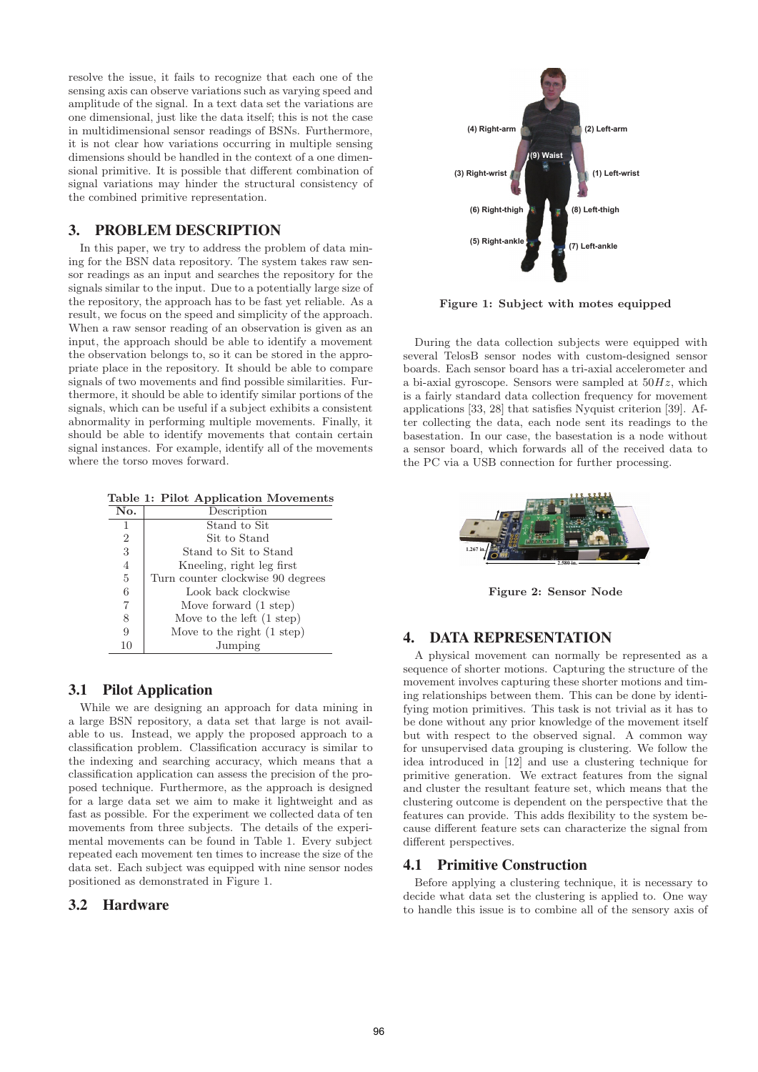resolve the issue, it fails to recognize that each one of the sensing axis can observe variations such as varying speed and amplitude of the signal. In a text data set the variations are one dimensional, just like the data itself; this is not the case in multidimensional sensor readings of BSNs. Furthermore, it is not clear how variations occurring in multiple sensing dimensions should be handled in the context of a one dimensional primitive. It is possible that different combination of signal variations may hinder the structural consistency of the combined primitive representation.

# 3. PROBLEM DESCRIPTION

In this paper, we try to address the problem of data mining for the BSN data repository. The system takes raw sensor readings as an input and searches the repository for the signals similar to the input. Due to a potentially large size of the repository, the approach has to be fast yet reliable. As a result, we focus on the speed and simplicity of the approach. When a raw sensor reading of an observation is given as an input, the approach should be able to identify a movement the observation belongs to, so it can be stored in the appropriate place in the repository. It should be able to compare signals of two movements and find possible similarities. Furthermore, it should be able to identify similar portions of the signals, which can be useful if a subject exhibits a consistent abnormality in performing multiple movements. Finally, it should be able to identify movements that contain certain signal instances. For example, identify all of the movements where the torso moves forward.

**Table 1: Pilot Application Movements**

| No.            | Description                          |
|----------------|--------------------------------------|
| 1              | Stand to Sit                         |
| $\overline{2}$ | Sit to Stand                         |
| 3              | Stand to Sit to Stand                |
| $\overline{4}$ | Kneeling, right leg first            |
| 5              | Turn counter clockwise 90 degrees    |
| 6              | Look back clockwise                  |
| $\overline{7}$ | Move forward (1 step)                |
| 8              | Move to the left $(1 \text{ step})$  |
| 9              | Move to the right $(1 \text{ step})$ |
|                | Jumping                              |

# 3.1 Pilot Application

While we are designing an approach for data mining in a large BSN repository, a data set that large is not available to us. Instead, we apply the proposed approach to a classification problem. Classification accuracy is similar to the indexing and searching accuracy, which means that a classification application can assess the precision of the proposed technique. Furthermore, as the approach is designed for a large data set we aim to make it lightweight and as fast as possible. For the experiment we collected data of ten movements from three subjects. The details of the experimental movements can be found in Table 1. Every subject repeated each movement ten times to increase the size of the data set. Each subject was equipped with nine sensor nodes positioned as demonstrated in Figure 1.

## 3.2 Hardware



**Figure 1: Subject with motes equipped**

During the data collection subjects were equipped with several TelosB sensor nodes with custom-designed sensor boards. Each sensor board has a tri-axial accelerometer and a bi-axial gyroscope. Sensors were sampled at  $50Hz$ , which is a fairly standard data collection frequency for movement applications [33, 28] that satisfies Nyquist criterion [39]. After collecting the data, each node sent its readings to the basestation. In our case, the basestation is a node without a sensor board, which forwards all of the received data to the PC via a USB connection for further processing.



**Figure 2: Sensor Node**

## 4. DATA REPRESENTATION

A physical movement can normally be represented as a sequence of shorter motions. Capturing the structure of the movement involves capturing these shorter motions and timing relationships between them. This can be done by identifying motion primitives. This task is not trivial as it has to be done without any prior knowledge of the movement itself but with respect to the observed signal. A common way for unsupervised data grouping is clustering. We follow the idea introduced in [12] and use a clustering technique for primitive generation. We extract features from the signal and cluster the resultant feature set, which means that the clustering outcome is dependent on the perspective that the features can provide. This adds flexibility to the system because different feature sets can characterize the signal from different perspectives.

# 4.1 Primitive Construction

Before applying a clustering technique, it is necessary to decide what data set the clustering is applied to. One way to handle this issue is to combine all of the sensory axis of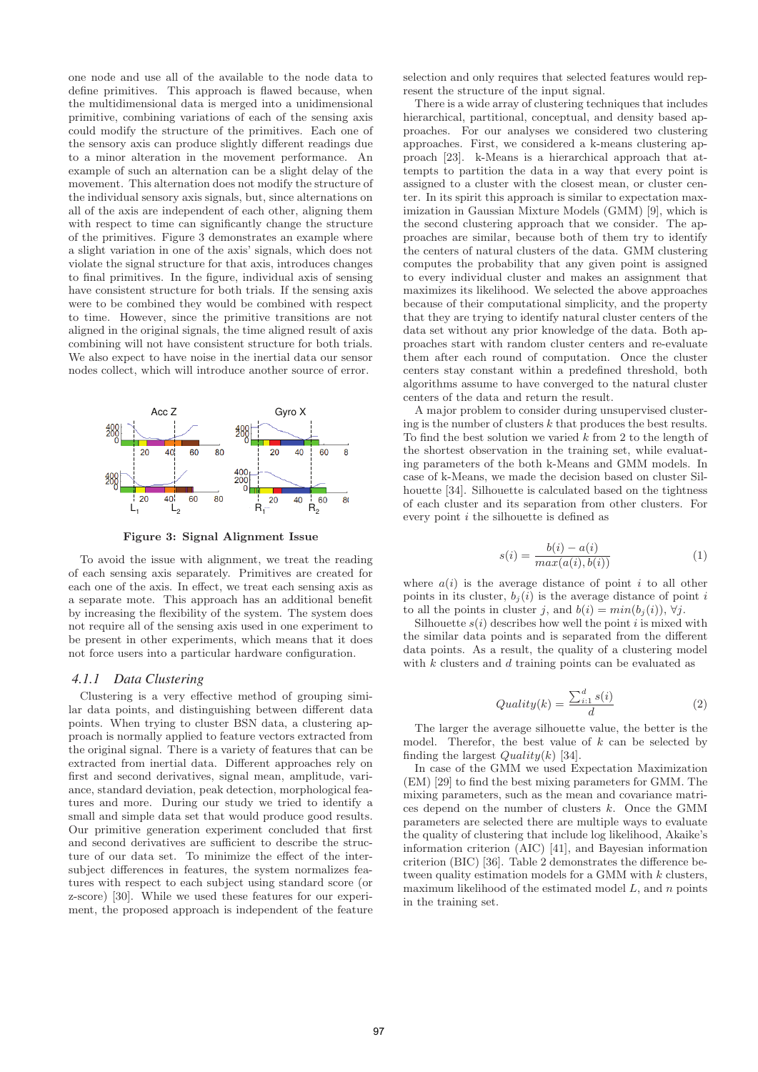one node and use all of the available to the node data to define primitives. This approach is flawed because, when the multidimensional data is merged into a unidimensional primitive, combining variations of each of the sensing axis could modify the structure of the primitives. Each one of the sensory axis can produce slightly different readings due to a minor alteration in the movement performance. An example of such an alternation can be a slight delay of the movement. This alternation does not modify the structure of the individual sensory axis signals, but, since alternations on all of the axis are independent of each other, aligning them with respect to time can significantly change the structure of the primitives. Figure 3 demonstrates an example where a slight variation in one of the axis' signals, which does not violate the signal structure for that axis, introduces changes to final primitives. In the figure, individual axis of sensing have consistent structure for both trials. If the sensing axis were to be combined they would be combined with respect to time. However, since the primitive transitions are not aligned in the original signals, the time aligned result of axis combining will not have consistent structure for both trials. We also expect to have noise in the inertial data our sensor nodes collect, which will introduce another source of error.



**Figure 3: Signal Alignment Issue**

To avoid the issue with alignment, we treat the reading of each sensing axis separately. Primitives are created for each one of the axis. In effect, we treat each sensing axis as a separate mote. This approach has an additional benefit by increasing the flexibility of the system. The system does not require all of the sensing axis used in one experiment to be present in other experiments, which means that it does not force users into a particular hardware configuration.

#### *4.1.1 Data Clustering*

Clustering is a very effective method of grouping similar data points, and distinguishing between different data points. When trying to cluster BSN data, a clustering approach is normally applied to feature vectors extracted from the original signal. There is a variety of features that can be extracted from inertial data. Different approaches rely on first and second derivatives, signal mean, amplitude, variance, standard deviation, peak detection, morphological features and more. During our study we tried to identify a small and simple data set that would produce good results. Our primitive generation experiment concluded that first and second derivatives are sufficient to describe the structure of our data set. To minimize the effect of the intersubject differences in features, the system normalizes features with respect to each subject using standard score (or z-score) [30]. While we used these features for our experiment, the proposed approach is independent of the feature

selection and only requires that selected features would represent the structure of the input signal.

There is a wide array of clustering techniques that includes hierarchical, partitional, conceptual, and density based approaches. For our analyses we considered two clustering approaches. First, we considered a k-means clustering approach [23]. k-Means is a hierarchical approach that attempts to partition the data in a way that every point is assigned to a cluster with the closest mean, or cluster center. In its spirit this approach is similar to expectation maximization in Gaussian Mixture Models (GMM) [9], which is the second clustering approach that we consider. The approaches are similar, because both of them try to identify the centers of natural clusters of the data. GMM clustering computes the probability that any given point is assigned to every individual cluster and makes an assignment that maximizes its likelihood. We selected the above approaches because of their computational simplicity, and the property that they are trying to identify natural cluster centers of the data set without any prior knowledge of the data. Both approaches start with random cluster centers and re-evaluate them after each round of computation. Once the cluster centers stay constant within a predefined threshold, both algorithms assume to have converged to the natural cluster centers of the data and return the result.

A major problem to consider during unsupervised clustering is the number of clusters  $k$  that produces the best results. To find the best solution we varied  $k$  from 2 to the length of the shortest observation in the training set, while evaluating parameters of the both k-Means and GMM models. In case of k-Means, we made the decision based on cluster Silhouette [34]. Silhouette is calculated based on the tightness of each cluster and its separation from other clusters. For every point i the silhouette is defined as

$$
s(i) = \frac{b(i) - a(i)}{max(a(i), b(i))}
$$
 (1)

where  $a(i)$  is the average distance of point i to all other points in its cluster,  $b_i(i)$  is the average distance of point i to all the points in cluster j, and  $b(i) = min(b_i(i)), \forall j$ .

Silhouette  $s(i)$  describes how well the point i is mixed with the similar data points and is separated from the different data points. As a result, the quality of a clustering model with  $k$  clusters and  $d$  training points can be evaluated as

$$
Quality(k) = \frac{\sum_{i=1}^{d} s(i)}{d}
$$
 (2)

The larger the average silhouette value, the better is the model. Therefor, the best value of  $k$  can be selected by finding the largest  $Quality(k)$  [34].

In case of the GMM we used Expectation Maximization (EM) [29] to find the best mixing parameters for GMM. The mixing parameters, such as the mean and covariance matrices depend on the number of clusters k. Once the GMM parameters are selected there are multiple ways to evaluate the quality of clustering that include log likelihood, Akaike's information criterion (AIC) [41], and Bayesian information criterion (BIC) [36]. Table 2 demonstrates the difference between quality estimation models for a GMM with k clusters, maximum likelihood of the estimated model  $L$ , and  $n$  points in the training set.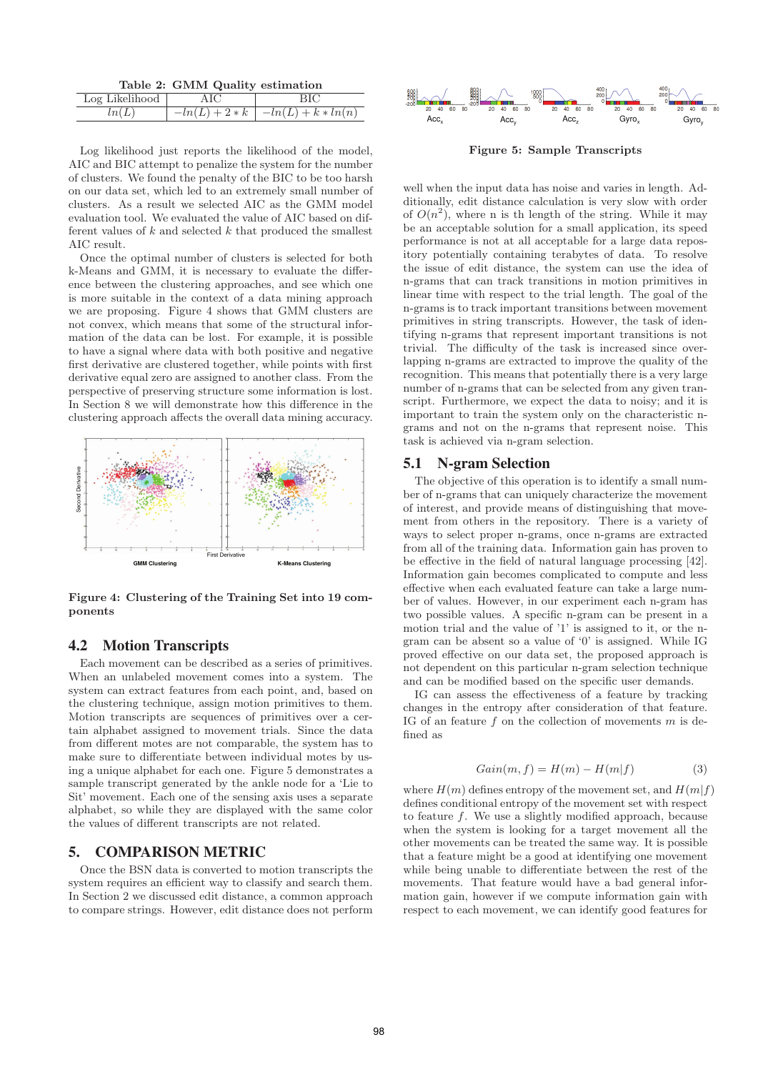| Table 2: GMM Quality estimation |
|---------------------------------|
|---------------------------------|

| Log Likelihood |                                        |
|----------------|----------------------------------------|
|                | $-ln(L) + 2*k \mid -ln(L) + k * ln(n)$ |

Log likelihood just reports the likelihood of the model, AIC and BIC attempt to penalize the system for the number of clusters. We found the penalty of the BIC to be too harsh on our data set, which led to an extremely small number of clusters. As a result we selected AIC as the GMM model evaluation tool. We evaluated the value of AIC based on different values of  $k$  and selected  $k$  that produced the smallest AIC result.

Once the optimal number of clusters is selected for both k-Means and GMM, it is necessary to evaluate the difference between the clustering approaches, and see which one is more suitable in the context of a data mining approach we are proposing. Figure 4 shows that GMM clusters are not convex, which means that some of the structural information of the data can be lost. For example, it is possible to have a signal where data with both positive and negative first derivative are clustered together, while points with first derivative equal zero are assigned to another class. From the perspective of preserving structure some information is lost. In Section 8 we will demonstrate how this difference in the clustering approach affects the overall data mining accuracy.



**Figure 4: Clustering of the Training Set into 19 components**

## 4.2 Motion Transcripts

Each movement can be described as a series of primitives. When an unlabeled movement comes into a system. The system can extract features from each point, and, based on the clustering technique, assign motion primitives to them. Motion transcripts are sequences of primitives over a certain alphabet assigned to movement trials. Since the data from different motes are not comparable, the system has to make sure to differentiate between individual motes by using a unique alphabet for each one. Figure 5 demonstrates a sample transcript generated by the ankle node for a 'Lie to Sit' movement. Each one of the sensing axis uses a separate alphabet, so while they are displayed with the same color the values of different transcripts are not related.

## 5. COMPARISON METRIC

Once the BSN data is converted to motion transcripts the system requires an efficient way to classify and search them. In Section 2 we discussed edit distance, a common approach to compare strings. However, edit distance does not perform



**Figure 5: Sample Transcripts**

well when the input data has noise and varies in length. Additionally, edit distance calculation is very slow with order of  $O(n^2)$ , where n is th length of the string. While it may be an acceptable solution for a small application, its speed performance is not at all acceptable for a large data repository potentially containing terabytes of data. To resolve the issue of edit distance, the system can use the idea of n-grams that can track transitions in motion primitives in linear time with respect to the trial length. The goal of the n-grams is to track important transitions between movement primitives in string transcripts. However, the task of identifying n-grams that represent important transitions is not trivial. The difficulty of the task is increased since overlapping n-grams are extracted to improve the quality of the recognition. This means that potentially there is a very large number of n-grams that can be selected from any given transcript. Furthermore, we expect the data to noisy; and it is important to train the system only on the characteristic ngrams and not on the n-grams that represent noise. This task is achieved via n-gram selection.

#### 5.1 N-gram Selection

The objective of this operation is to identify a small number of n-grams that can uniquely characterize the movement of interest, and provide means of distinguishing that movement from others in the repository. There is a variety of ways to select proper n-grams, once n-grams are extracted from all of the training data. Information gain has proven to be effective in the field of natural language processing [42]. Information gain becomes complicated to compute and less effective when each evaluated feature can take a large number of values. However, in our experiment each n-gram has two possible values. A specific n-gram can be present in a motion trial and the value of '1' is assigned to it, or the ngram can be absent so a value of '0' is assigned. While IG proved effective on our data set, the proposed approach is not dependent on this particular n-gram selection technique and can be modified based on the specific user demands.

IG can assess the effectiveness of a feature by tracking changes in the entropy after consideration of that feature. IG of an feature  $f$  on the collection of movements  $m$  is defined as

$$
Gain(m, f) = H(m) - H(m|f)
$$
\n(3)

where  $H(m)$  defines entropy of the movement set, and  $H(m|f)$ defines conditional entropy of the movement set with respect to feature f. We use a slightly modified approach, because when the system is looking for a target movement all the other movements can be treated the same way. It is possible that a feature might be a good at identifying one movement while being unable to differentiate between the rest of the movements. That feature would have a bad general information gain, however if we compute information gain with respect to each movement, we can identify good features for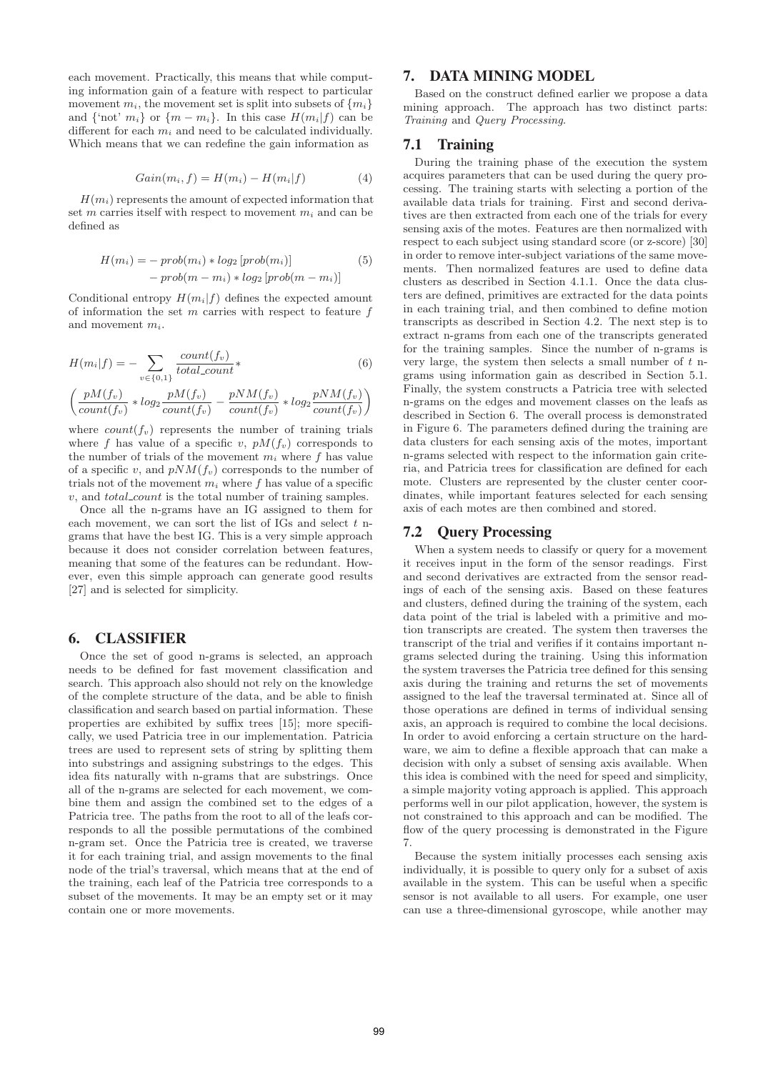each movement. Practically, this means that while computing information gain of a feature with respect to particular movement  $m_i$ , the movement set is split into subsets of  $\{m_i\}$ and {'not'  $m_i$ } or  $\{m - m_i\}$ . In this case  $H(m_i|f)$  can be different for each  $m_i$  and need to be calculated individually. Which means that we can redefine the gain information as

$$
Gain(m_i, f) = H(m_i) - H(m_i|f)
$$
\n(4)

 $H(m<sub>i</sub>)$  represents the amount of expected information that set m carries itself with respect to movement  $m_i$  and can be defined as

$$
H(m_i) = -\,prob(m_i) * log_2\left[prob(m_i)\right]
$$
  
-  $prob(m - m_i) * log_2\left[prob(m - m_i)\right]$  (5)

Conditional entropy  $H(m_i|f)$  defines the expected amount of information the set  $m$  carries with respect to feature  $f$ and movement  $m_i$ .

$$
H(m_i|f) = -\sum_{v \in \{0,1\}} \frac{count(f_v)}{total_count} \tag{6}
$$

$$
\left(\frac{pM(f_v)}{count(f_v)} * log_2\frac{pM(f_v)}{count(f_v)} - \frac{pNM(f_v)}{count(f_v)} * log_2\frac{pNM(f_v)}{count(f_v)}\right)
$$

where  $count(f_v)$  represents the number of training trials where f has value of a specific v,  $pM(f_v)$  corresponds to the number of trials of the movement  $m_i$  where f has value of a specific v, and  $pNM(f_v)$  corresponds to the number of trials not of the movement  $m_i$  where f has value of a specific  $v$ , and  $total\_count$  is the total number of training samples.

Once all the n-grams have an IG assigned to them for each movement, we can sort the list of IGs and select  $t$  ngrams that have the best IG. This is a very simple approach because it does not consider correlation between features, meaning that some of the features can be redundant. However, even this simple approach can generate good results [27] and is selected for simplicity.

## 6. CLASSIFIER

Once the set of good n-grams is selected, an approach needs to be defined for fast movement classification and search. This approach also should not rely on the knowledge of the complete structure of the data, and be able to finish classification and search based on partial information. These properties are exhibited by suffix trees [15]; more specifically, we used Patricia tree in our implementation. Patricia trees are used to represent sets of string by splitting them into substrings and assigning substrings to the edges. This idea fits naturally with n-grams that are substrings. Once all of the n-grams are selected for each movement, we combine them and assign the combined set to the edges of a Patricia tree. The paths from the root to all of the leafs corresponds to all the possible permutations of the combined n-gram set. Once the Patricia tree is created, we traverse it for each training trial, and assign movements to the final node of the trial's traversal, which means that at the end of the training, each leaf of the Patricia tree corresponds to a subset of the movements. It may be an empty set or it may contain one or more movements.

# 7. DATA MINING MODEL

Based on the construct defined earlier we propose a data mining approach. The approach has two distinct parts: Training and Query Processing.

## 7.1 Training

During the training phase of the execution the system acquires parameters that can be used during the query processing. The training starts with selecting a portion of the available data trials for training. First and second derivatives are then extracted from each one of the trials for every sensing axis of the motes. Features are then normalized with respect to each subject using standard score (or z-score) [30] in order to remove inter-subject variations of the same movements. Then normalized features are used to define data clusters as described in Section 4.1.1. Once the data clusters are defined, primitives are extracted for the data points in each training trial, and then combined to define motion transcripts as described in Section 4.2. The next step is to extract n-grams from each one of the transcripts generated for the training samples. Since the number of n-grams is very large, the system then selects a small number of  $t$  ngrams using information gain as described in Section 5.1. Finally, the system constructs a Patricia tree with selected n-grams on the edges and movement classes on the leafs as described in Section 6. The overall process is demonstrated in Figure 6. The parameters defined during the training are data clusters for each sensing axis of the motes, important n-grams selected with respect to the information gain criteria, and Patricia trees for classification are defined for each mote. Clusters are represented by the cluster center coordinates, while important features selected for each sensing axis of each motes are then combined and stored.

#### 7.2 Query Processing

When a system needs to classify or query for a movement it receives input in the form of the sensor readings. First and second derivatives are extracted from the sensor readings of each of the sensing axis. Based on these features and clusters, defined during the training of the system, each data point of the trial is labeled with a primitive and motion transcripts are created. The system then traverses the transcript of the trial and verifies if it contains important ngrams selected during the training. Using this information the system traverses the Patricia tree defined for this sensing axis during the training and returns the set of movements assigned to the leaf the traversal terminated at. Since all of those operations are defined in terms of individual sensing axis, an approach is required to combine the local decisions. In order to avoid enforcing a certain structure on the hardware, we aim to define a flexible approach that can make a decision with only a subset of sensing axis available. When this idea is combined with the need for speed and simplicity, a simple majority voting approach is applied. This approach performs well in our pilot application, however, the system is not constrained to this approach and can be modified. The flow of the query processing is demonstrated in the Figure 7.

Because the system initially processes each sensing axis individually, it is possible to query only for a subset of axis available in the system. This can be useful when a specific sensor is not available to all users. For example, one user can use a three-dimensional gyroscope, while another may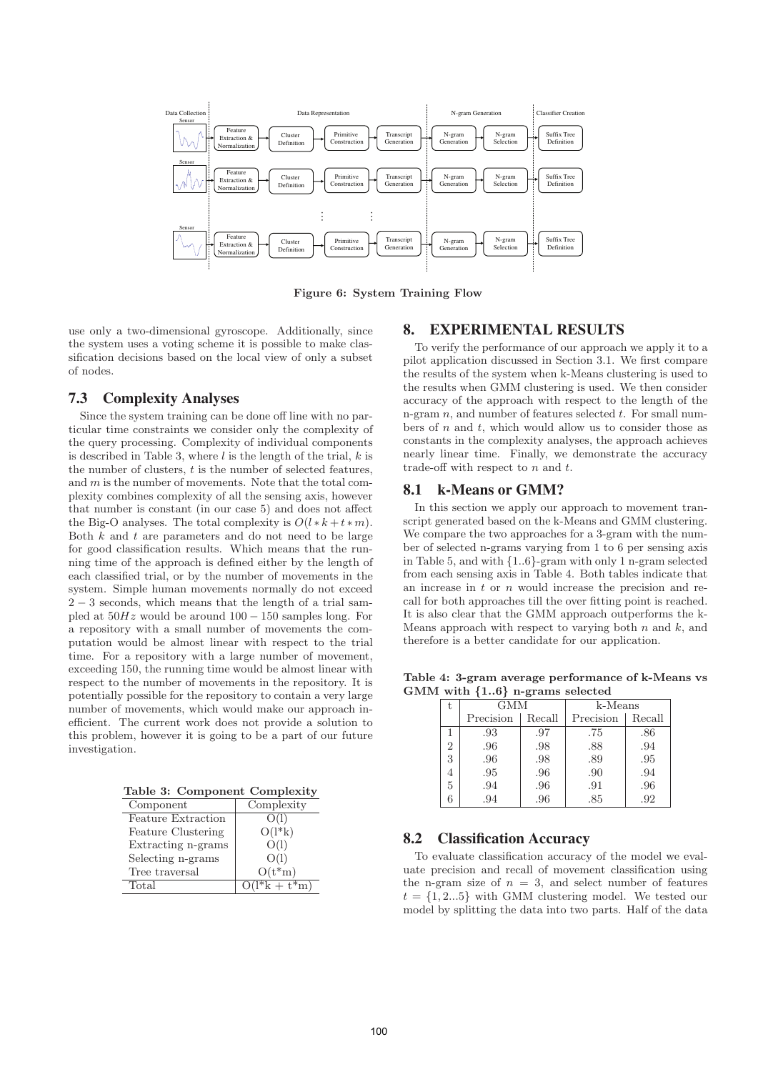

**Figure 6: System Training Flow**

use only a two-dimensional gyroscope. Additionally, since the system uses a voting scheme it is possible to make classification decisions based on the local view of only a subset of nodes.

## 7.3 Complexity Analyses

Since the system training can be done off line with no particular time constraints we consider only the complexity of the query processing. Complexity of individual components is described in Table 3, where  $l$  is the length of the trial,  $k$  is the number of clusters,  $t$  is the number of selected features, and  $m$  is the number of movements. Note that the total complexity combines complexity of all the sensing axis, however that number is constant (in our case 5) and does not affect the Big-O analyses. The total complexity is  $O(l*k+t*m)$ . Both  $k$  and  $t$  are parameters and do not need to be large for good classification results. Which means that the running time of the approach is defined either by the length of each classified trial, or by the number of movements in the system. Simple human movements normally do not exceed  $2-3$  seconds, which means that the length of a trial sampled at  $50Hz$  would be around  $100-150$  samples long. For a repository with a small number of movements the computation would be almost linear with respect to the trial time. For a repository with a large number of movement, exceeding 150, the running time would be almost linear with respect to the number of movements in the repository. It is potentially possible for the repository to contain a very large number of movements, which would make our approach inefficient. The current work does not provide a solution to this problem, however it is going to be a part of our future investigation.

**Table 3: Component Complexity**

| Component                 | Complexity                  |
|---------------------------|-----------------------------|
| <b>Feature Extraction</b> | O(1)                        |
| Feature Clustering        | $O(l*k)$                    |
| Extracting n-grams        | O(1)                        |
| Selecting n-grams         | O(1)                        |
| Tree traversal            | $O(t*m)$                    |
| Total                     | $\overline{O(l^*k + t^*m)}$ |

## 8. EXPERIMENTAL RESULTS

To verify the performance of our approach we apply it to a pilot application discussed in Section 3.1. We first compare the results of the system when k-Means clustering is used to the results when GMM clustering is used. We then consider accuracy of the approach with respect to the length of the n-gram  $n$ , and number of features selected  $t$ . For small numbers of  $n$  and  $t$ , which would allow us to consider those as constants in the complexity analyses, the approach achieves nearly linear time. Finally, we demonstrate the accuracy trade-off with respect to  $n$  and  $t$ .

#### 8.1 k-Means or GMM?

In this section we apply our approach to movement transcript generated based on the k-Means and GMM clustering. We compare the two approaches for a 3-gram with the number of selected n-grams varying from 1 to 6 per sensing axis in Table 5, and with {1..6}-gram with only 1 n-gram selected from each sensing axis in Table 4. Both tables indicate that an increase in  $t$  or  $n$  would increase the precision and recall for both approaches till the over fitting point is reached. It is also clear that the GMM approach outperforms the k-Means approach with respect to varying both  $n$  and  $k$ , and therefore is a better candidate for our application.

**Table 4: 3-gram average performance of k-Means vs GMM with** *{***1..6***}* **n-grams selected**

| T,             | GMM       |        | k-Means   |        |  |  |
|----------------|-----------|--------|-----------|--------|--|--|
|                | Precision | Recall | Precision | Recall |  |  |
|                | .93       | .97    | .75       | .86    |  |  |
| $\overline{2}$ | .96       | .98    | .88       | .94    |  |  |
| 3              | .96       | .98    | .89       | .95    |  |  |
| 4              | .95       | .96    | .90       | .94    |  |  |
| 5              | .94       | .96    | .91       | .96    |  |  |
|                | .94       | .96    | .85       | .92    |  |  |
|                |           |        |           |        |  |  |

## 8.2 Classification Accuracy

To evaluate classification accuracy of the model we evaluate precision and recall of movement classification using the n-gram size of  $n = 3$ , and select number of features  $t = \{1, 2...5\}$  with GMM clustering model. We tested our model by splitting the data into two parts. Half of the data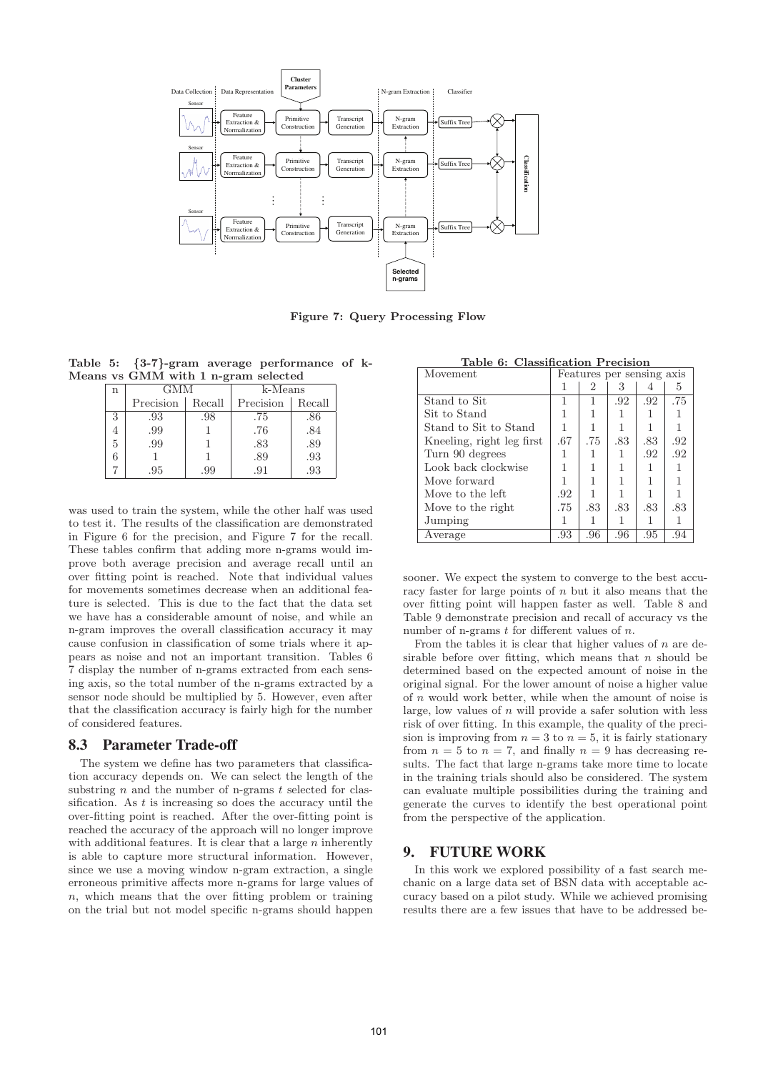

**Figure 7: Query Processing Flow**

**Table 5:** *{***3-7***}***-gram average performance of k-Means vs GMM with 1 n-gram selected**

| n | GMM       |        | k-Means   |        |  |  |  |
|---|-----------|--------|-----------|--------|--|--|--|
|   | Precision | Recall | Precision | Recall |  |  |  |
| 3 | .93       | .98    | .75       | .86    |  |  |  |
|   | .99       |        | .76       | .84    |  |  |  |
| 5 | .99       |        | .83       | .89    |  |  |  |
|   |           |        | .89       | .93    |  |  |  |
|   | .95       | .99    | .91       | .93    |  |  |  |

was used to train the system, while the other half was used to test it. The results of the classification are demonstrated in Figure 6 for the precision, and Figure 7 for the recall. These tables confirm that adding more n-grams would improve both average precision and average recall until an over fitting point is reached. Note that individual values for movements sometimes decrease when an additional feature is selected. This is due to the fact that the data set we have has a considerable amount of noise, and while an n-gram improves the overall classification accuracy it may cause confusion in classification of some trials where it appears as noise and not an important transition. Tables 6 7 display the number of n-grams extracted from each sensing axis, so the total number of the n-grams extracted by a sensor node should be multiplied by 5. However, even after that the classification accuracy is fairly high for the number of considered features.

## 8.3 Parameter Trade-off

The system we define has two parameters that classification accuracy depends on. We can select the length of the substring  $n$  and the number of n-grams  $t$  selected for classification. As  $t$  is increasing so does the accuracy until the over-fitting point is reached. After the over-fitting point is reached the accuracy of the approach will no longer improve with additional features. It is clear that a large  $n$  inherently is able to capture more structural information. However, since we use a moving window n-gram extraction, a single erroneous primitive affects more n-grams for large values of  $n$ , which means that the over fitting problem or training on the trial but not model specific n-grams should happen

| Table 6: Classification Precision |  |
|-----------------------------------|--|
|                                   |  |

| Movement                  |     | Features per sensing axis |     |     |     |  |
|---------------------------|-----|---------------------------|-----|-----|-----|--|
|                           |     | 2                         | 3   |     | 5   |  |
| Stand to Sit              |     | 1                         | .92 | .92 | .75 |  |
| Sit to Stand              |     |                           |     |     |     |  |
| Stand to Sit to Stand     |     |                           |     |     |     |  |
| Kneeling, right leg first | .67 | .75                       | .83 | .83 | .92 |  |
| Turn 90 degrees           |     |                           |     | .92 | .92 |  |
| Look back clockwise       |     |                           |     |     |     |  |
| Move forward              |     |                           |     |     |     |  |
| Move to the left          | .92 |                           |     |     |     |  |
| Move to the right         | .75 | .83                       | .83 | .83 | .83 |  |
| Jumping                   |     |                           |     |     |     |  |
| Average                   | .93 | .96                       | .96 | .95 | .94 |  |

sooner. We expect the system to converge to the best accuracy faster for large points of  $n$  but it also means that the over fitting point will happen faster as well. Table 8 and Table 9 demonstrate precision and recall of accuracy vs the number of n-grams  $t$  for different values of  $n$ .

From the tables it is clear that higher values of  $n$  are desirable before over fitting, which means that  $n$  should be determined based on the expected amount of noise in the original signal. For the lower amount of noise a higher value of n would work better, while when the amount of noise is large, low values of  $n$  will provide a safer solution with less risk of over fitting. In this example, the quality of the precision is improving from  $n = 3$  to  $n = 5$ , it is fairly stationary from  $n = 5$  to  $n = 7$ , and finally  $n = 9$  has decreasing results. The fact that large n-grams take more time to locate in the training trials should also be considered. The system can evaluate multiple possibilities during the training and generate the curves to identify the best operational point from the perspective of the application.

## 9. FUTURE WORK

In this work we explored possibility of a fast search mechanic on a large data set of BSN data with acceptable accuracy based on a pilot study. While we achieved promising results there are a few issues that have to be addressed be-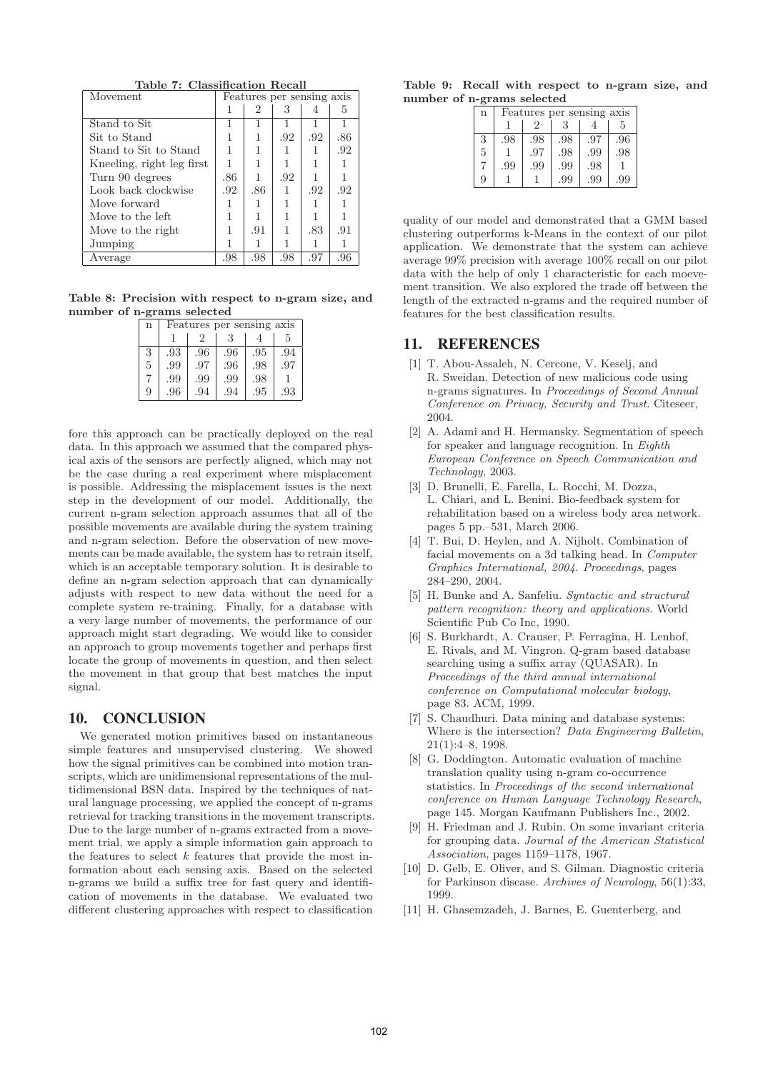| Table 7: Classification Recall |  |
|--------------------------------|--|
|                                |  |

| Movement                  | Features per sensing axis |     |     |     |     |
|---------------------------|---------------------------|-----|-----|-----|-----|
|                           | 1                         | 2   | 3   | 4   | 5   |
| Stand to Sit              |                           |     |     |     |     |
| Sit to Stand              |                           |     | .92 | .92 | .86 |
| Stand to Sit to Stand     |                           |     | 1   |     | .92 |
| Kneeling, right leg first |                           |     |     |     |     |
| Turn 90 degrees           | .86                       |     | .92 |     |     |
| Look back clockwise       | .92                       | .86 | 1   | .92 | .92 |
| Move forward              |                           |     |     |     |     |
| Move to the left          |                           |     |     |     |     |
| Move to the right         |                           | .91 | 1   | .83 | .91 |
| Jumping                   |                           |     |     |     |     |
| Average                   | .98                       | .98 | .98 | .97 | .96 |

**Table 8: Precision with respect to n-gram size, and number of n-grams selected**

| $\mathbf n$ | Features per sensing axis |                |     |     |     |  |  |  |
|-------------|---------------------------|----------------|-----|-----|-----|--|--|--|
|             |                           | $\mathfrak{D}$ |     | 5   |     |  |  |  |
| 3           | .93                       | .96            | .96 | .95 | .94 |  |  |  |
| 5           | .99                       | .97            | .96 | .98 | .97 |  |  |  |
|             | .99                       | .99            | .99 | .98 |     |  |  |  |
| 9           | .96                       | .94            | .94 | .95 | .93 |  |  |  |

fore this approach can be practically deployed on the real data. In this approach we assumed that the compared physical axis of the sensors are perfectly aligned, which may not be the case during a real experiment where misplacement is possible. Addressing the misplacement issues is the next step in the development of our model. Additionally, the current n-gram selection approach assumes that all of the possible movements are available during the system training and n-gram selection. Before the observation of new movements can be made available, the system has to retrain itself, which is an acceptable temporary solution. It is desirable to define an n-gram selection approach that can dynamically adjusts with respect to new data without the need for a complete system re-training. Finally, for a database with a very large number of movements, the performance of our approach might start degrading. We would like to consider an approach to group movements together and perhaps first locate the group of movements in question, and then select the movement in that group that best matches the input signal.

### 10. CONCLUSION

We generated motion primitives based on instantaneous simple features and unsupervised clustering. We showed how the signal primitives can be combined into motion transcripts, which are unidimensional representations of the multidimensional BSN data. Inspired by the techniques of natural language processing, we applied the concept of n-grams retrieval for tracking transitions in the movement transcripts. Due to the large number of n-grams extracted from a movement trial, we apply a simple information gain approach to the features to select  $k$  features that provide the most information about each sensing axis. Based on the selected n-grams we build a suffix tree for fast query and identification of movements in the database. We evaluated two different clustering approaches with respect to classification

**Table 9: Recall with respect to n-gram size, and number of n-grams selected**

| $\mathbf n$    | Features per sensing axis |     |     |     |     |  |  |  |
|----------------|---------------------------|-----|-----|-----|-----|--|--|--|
|                |                           |     | 5   |     |     |  |  |  |
| 3              | .98                       | .98 | .98 | .97 | .96 |  |  |  |
| $\overline{5}$ |                           | .97 | .98 | .99 | .98 |  |  |  |
|                | .99                       | .99 | .99 | .98 |     |  |  |  |
| 9              |                           |     | .99 | .99 | .99 |  |  |  |

quality of our model and demonstrated that a GMM based clustering outperforms k-Means in the context of our pilot application. We demonstrate that the system can achieve average 99% precision with average 100% recall on our pilot data with the help of only 1 characteristic for each moevement transition. We also explored the trade off between the length of the extracted n-grams and the required number of features for the best classification results.

# 11. REFERENCES

- [1] T. Abou-Assaleh, N. Cercone, V. Keselj, and R. Sweidan. Detection of new malicious code using n-grams signatures. In Proceedings of Second Annual Conference on Privacy, Security and Trust. Citeseer, 2004.
- [2] A. Adami and H. Hermansky. Segmentation of speech for speaker and language recognition. In Eighth European Conference on Speech Communication and Technology, 2003.
- [3] D. Brunelli, E. Farella, L. Rocchi, M. Dozza, L. Chiari, and L. Benini. Bio-feedback system for rehabilitation based on a wireless body area network. pages 5 pp.–531, March 2006.
- [4] T. Bui, D. Heylen, and A. Nijholt. Combination of facial movements on a 3d talking head. In Computer Graphics International, 2004. Proceedings, pages 284–290, 2004.
- [5] H. Bunke and A. Sanfeliu. Syntactic and structural pattern recognition: theory and applications. World Scientific Pub Co Inc, 1990.
- [6] S. Burkhardt, A. Crauser, P. Ferragina, H. Lenhof, E. Rivals, and M. Vingron. Q-gram based database searching using a suffix array (QUASAR). In Proceedings of the third annual international conference on Computational molecular biology, page 83. ACM, 1999.
- [7] S. Chaudhuri. Data mining and database systems: Where is the intersection? Data Engineering Bulletin, 21(1):4–8, 1998.
- [8] G. Doddington. Automatic evaluation of machine translation quality using n-gram co-occurrence statistics. In Proceedings of the second international conference on Human Language Technology Research, page 145. Morgan Kaufmann Publishers Inc., 2002.
- [9] H. Friedman and J. Rubin. On some invariant criteria for grouping data. Journal of the American Statistical Association, pages 1159–1178, 1967.
- [10] D. Gelb, E. Oliver, and S. Gilman. Diagnostic criteria for Parkinson disease. Archives of Neurology, 56(1):33, 1999.
- [11] H. Ghasemzadeh, J. Barnes, E. Guenterberg, and